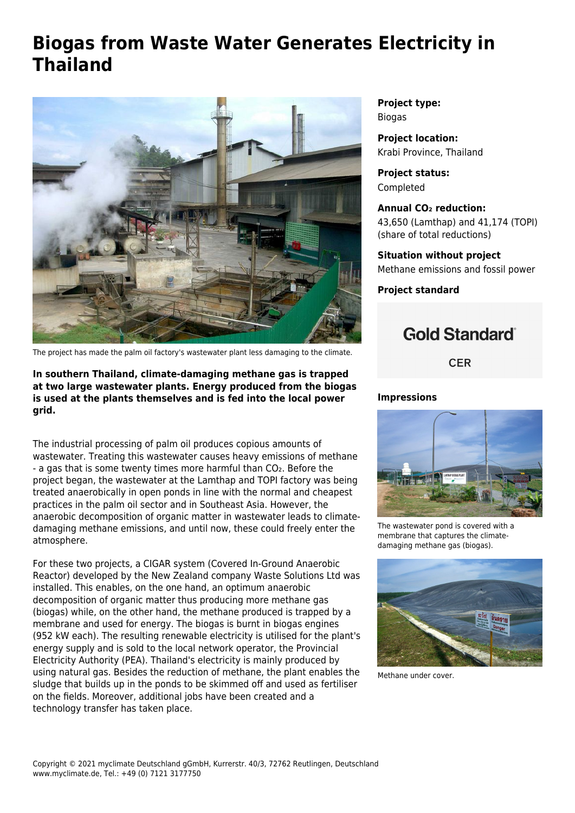## **Biogas from Waste Water Generates Electricity in Thailand**



The project has made the palm oil factory's wastewater plant less damaging to the climate.

**In southern Thailand, climate-damaging methane gas is trapped at two large wastewater plants. Energy produced from the biogas is used at the plants themselves and is fed into the local power grid.**

The industrial processing of palm oil produces copious amounts of wastewater. Treating this wastewater causes heavy emissions of methane - a gas that is some twenty times more harmful than CO₂. Before the project began, the wastewater at the Lamthap and TOPI factory was being treated anaerobically in open ponds in line with the normal and cheapest practices in the palm oil sector and in Southeast Asia. However, the anaerobic decomposition of organic matter in wastewater leads to climatedamaging methane emissions, and until now, these could freely enter the atmosphere.

For these two projects, a CIGAR system (Covered In-Ground Anaerobic Reactor) developed by the New Zealand company Waste Solutions Ltd was installed. This enables, on the one hand, an optimum anaerobic decomposition of organic matter thus producing more methane gas (biogas) while, on the other hand, the methane produced is trapped by a membrane and used for energy. The biogas is burnt in biogas engines (952 kW each). The resulting renewable electricity is utilised for the plant's energy supply and is sold to the local network operator, the Provincial Electricity Authority (PEA). Thailand's electricity is mainly produced by using natural gas. Besides the reduction of methane, the plant enables the sludge that builds up in the ponds to be skimmed off and used as fertiliser on the fields. Moreover, additional jobs have been created and a technology transfer has taken place.

**Project type:** Biogas

**Project location:** Krabi Province, Thailand

**Project status:** Completed

**Annual CO₂ reduction:** 43,650 (Lamthap) and 41,174 (TOPI) (share of total reductions)

**Situation without project** Methane emissions and fossil power

**Project standard**

## **Gold Standard**®

**CER** 

## **Impressions**



The wastewater pond is covered with a membrane that captures the climatedamaging methane gas (biogas).



Methane under cover.